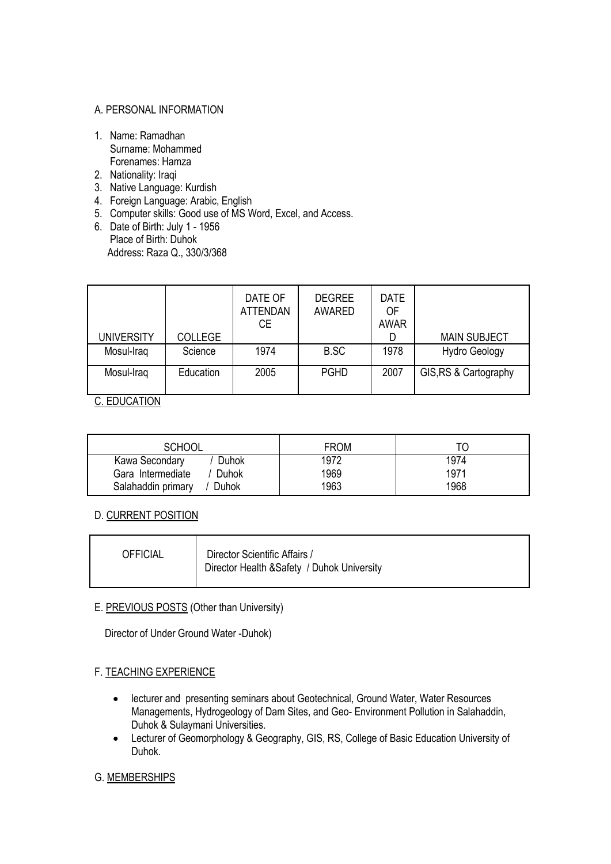#### A. PERSONAL INFORMATION

- 1. Name: Ramadhan Surname: Mohammed Forenames: Hamza
- 2. Nationality: Iraqi
- 3. Native Language: Kurdish
- 4. Foreign Language: Arabic, English
- 5. Computer skills: Good use of MS Word, Excel, and Access.
- 6. Date of Birth: July 1 1956 Place of Birth: Duhok Address: Raza Q., 330/3/368

| <b>UNIVERSITY</b> | <b>COLLEGE</b> | DATE OF<br><b>ATTENDAN</b><br>CE. | <b>DEGREE</b><br><b>AWARED</b> | <b>DATE</b><br>OF<br><b>AWAR</b> | <b>MAIN SUBJECT</b>   |
|-------------------|----------------|-----------------------------------|--------------------------------|----------------------------------|-----------------------|
| Mosul-Iraq        | Science        | 1974                              | B.SC                           | 1978                             | <b>Hydro Geology</b>  |
| Mosul-Iraq        | Education      | 2005                              | <b>PGHD</b>                    | 2007                             | GIS, RS & Cartography |

C. EDUCATION

| <b>SCHOOL</b>               | <b>FROM</b> |      |
|-----------------------------|-------------|------|
| Duhok<br>Kawa Secondary     | 1972        | 1974 |
| Gara Intermediate<br>Duhok  | 1969        | 1971 |
| Salahaddin primary<br>Duhok | 1963        | 1968 |

#### D. CURRENT POSITION

| <b>OFFICIAL</b> | Director Scientific Affairs /<br>Director Health & Safety / Duhok University |
|-----------------|------------------------------------------------------------------------------|
|-----------------|------------------------------------------------------------------------------|

### E. PREVIOUS POSTS (Other than University)

Director of Under Ground Water -Duhok)

#### F. TEACHING EXPERIENCE

- lecturer and presenting seminars about Geotechnical, Ground Water, Water Resources Managements, Hydrogeology of Dam Sites, and Geo- Environment Pollution in Salahaddin, Duhok & Sulaymani Universities.
- Lecturer of Geomorphology & Geography, GIS, RS, College of Basic Education University of Duhok.

#### G. MEMBERSHIPS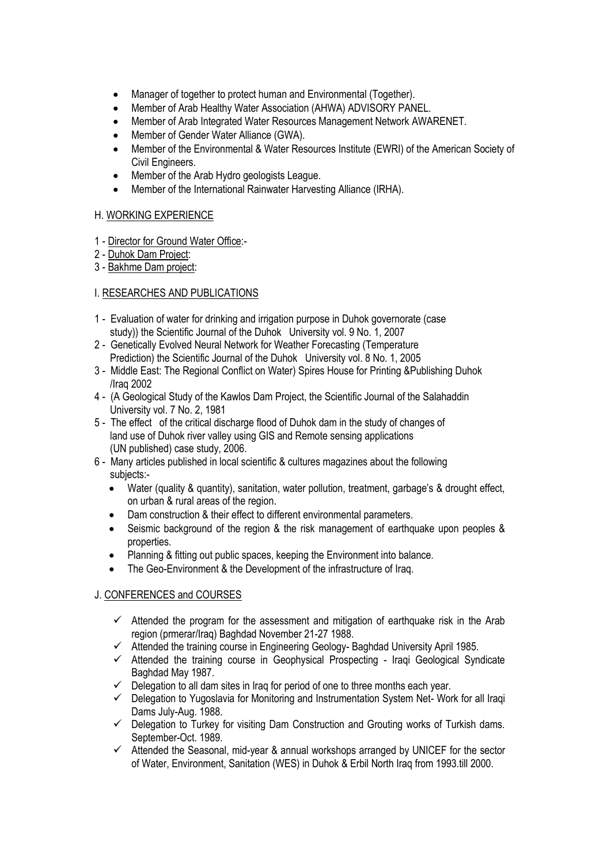- Manager of together to protect human and Environmental (Together).
- Member of Arab Healthy Water Association (AHWA) ADVISORY PANEL.
- Member of [Arab Integrated Water Resources Management Network](http://www.awarenet.org/) AWARENET.
- Member of Gender Water Alliance (GWA).
- Member of the Environmental & Water Resources Institute (EWRI) of the American Society of Civil Engineers.
- Member of the Arab Hydro geologists League.
- Member of the International Rainwater Harvesting Alliance (IRHA).

#### H. WORKING EXPERIENCE

- 1 Director for Ground Water Office:-
- 2 Duhok Dam Project:
- 3 Bakhme Dam project:

## I. RESEARCHES AND PUBLICATIONS

- 1 Evaluation of water for drinking and irrigation purpose in Duhok governorate (case study)) the Scientific Journal of the Duhok University vol. 9 No. 1, 2007
- 2 Genetically Evolved Neural Network for Weather Forecasting (Temperature Prediction) the Scientific Journal of the Duhok University vol. 8 No. 1, 2005
- 3 Middle East: The Regional Conflict on Water) Spires House for Printing &Publishing Duhok /Iraq 2002
- 4 (A Geological Study of the Kawlos Dam Project, the Scientific Journal of the Salahaddin University vol. 7 No. 2, 1981
- 5 The effect of the critical discharge flood of Duhok dam in the study of changes of land use of Duhok river valley using GIS and Remote sensing applications (UN published) case study, 2006.
- 6 Many articles published in local scientific & cultures magazines about the following subjects:-
	- Water (quality & quantity), sanitation, water pollution, treatment, garbage's & drought effect, on urban & rural areas of the region.
	- Dam construction & their effect to different environmental parameters.
	- Seismic background of the region & the risk management of earthquake upon peoples & properties.
	- Planning & fitting out public spaces, keeping the Environment into balance.
	- The Geo-Environment & the Development of the infrastructure of Iraq.

# J. CONFERENCES and COURSES

- $\checkmark$  Attended the program for the assessment and mitigation of earthquake risk in the Arab region (prmerar/Iraq) Baghdad November 21-27 1988.
- $\checkmark$  Attended the training course in Engineering Geology- Baghdad University April 1985.
- $\checkmark$  Attended the training course in Geophysical Prospecting Iraqi Geological Syndicate Baghdad May 1987.
- $\checkmark$  Delegation to all dam sites in Iraq for period of one to three months each year.
- $\checkmark$  Delegation to Yugoslavia for Monitoring and Instrumentation System Net-Work for all Iraqi Dams July-Aug. 1988.
- $\checkmark$  Delegation to Turkey for visiting Dam Construction and Grouting works of Turkish dams. September-Oct. 1989.
- $\checkmark$  Attended the Seasonal, mid-year & annual workshops arranged by UNICEF for the sector of Water, Environment, Sanitation (WES) in Duhok & Erbil North Iraq from 1993.till 2000.